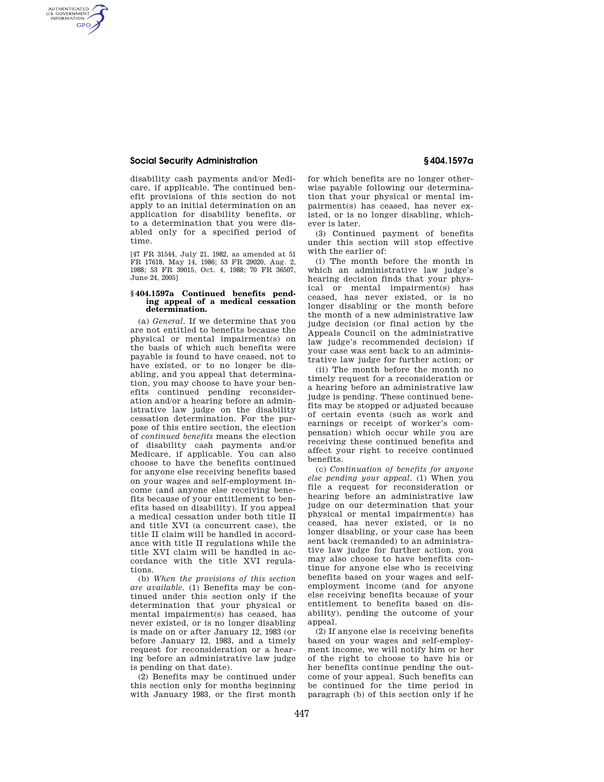## **Social Security Administration § 404.1597a**

AUTHENTICATED<br>U.S. GOVERNMENT<br>INFORMATION **GPO** 

> disability cash payments and/or Medicare, if applicable. The continued benefit provisions of this section do not apply to an initial determination on an application for disability benefits, or to a determination that you were disabled only for a specified period of time.

[47 FR 31544, July 21, 1982, as amended at 51 FR 17618, May 14, 1986; 53 FR 29020, Aug. 2, 1988; 53 FR 39015, Oct. 4, 1988; 70 FR 36507, June 24, 2005]

### **§ 404.1597a Continued benefits pending appeal of a medical cessation determination.**

(a) *General.* If we determine that you are not entitled to benefits because the physical or mental impairment(s) on the basis of which such benefits were payable is found to have ceased, not to have existed, or to no longer be disabling, and you appeal that determination, you may choose to have your benefits continued pending reconsideration and/or a hearing before an administrative law judge on the disability cessation determination. For the purpose of this entire section, the election of *continued benefits* means the election of disability cash payments and/or Medicare, if applicable. You can also choose to have the benefits continued for anyone else receiving benefits based on your wages and self-employment income (and anyone else receiving benefits because of your entitlement to benefits based on disability). If you appeal a medical cessation under both title II and title XVI (a concurrent case), the title II claim will be handled in accordance with title II regulations while the title XVI claim will be handled in accordance with the title XVI regulations.

(b) *When the provisions of this section are available.* (1) Benefits may be continued under this section only if the determination that your physical or mental impairment(s) has ceased, has never existed, or is no longer disabling is made on or after January 12, 1983 (or before January 12, 1983, and a timely request for reconsideration or a hearing before an administrative law judge is pending on that date).

(2) Benefits may be continued under this section only for months beginning with January 1983, or the first month for which benefits are no longer otherwise payable following our determination that your physical or mental impairment(s) has ceased, has never existed, or is no longer disabling, whichever is later.

(3) Continued payment of benefits under this section will stop effective with the earlier of:

(i) The month before the month in which an administrative law judge's hearing decision finds that your physical or mental impairment(s) has ceased, has never existed, or is no longer disabling or the month before the month of a new administrative law judge decision (or final action by the Appeals Council on the administrative law judge's recommended decision) if your case was sent back to an administrative law judge for further action; or

(ii) The month before the month no timely request for a reconsideration or a hearing before an administrative law judge is pending. These continued benefits may be stopped or adjusted because of certain events (such as work and earnings or receipt of worker's compensation) which occur while you are receiving these continued benefits and affect your right to receive continued benefits.

(c) *Continuation of benefits for anyone else pending your appeal.* (1) When you file a request for reconsideration or hearing before an administrative law judge on our determination that your physical or mental impairment(s) has ceased, has never existed, or is no longer disabling, or your case has been sent back (remanded) to an administrative law judge for further action, you may also choose to have benefits continue for anyone else who is receiving benefits based on your wages and selfemployment income (and for anyone else receiving benefits because of your entitlement to benefits based on disability), pending the outcome of your appeal.

(2) If anyone else is receiving benefits based on your wages and self-employment income, we will notify him or her of the right to choose to have his or her benefits continue pending the outcome of your appeal. Such benefits can be continued for the time period in paragraph (b) of this section only if he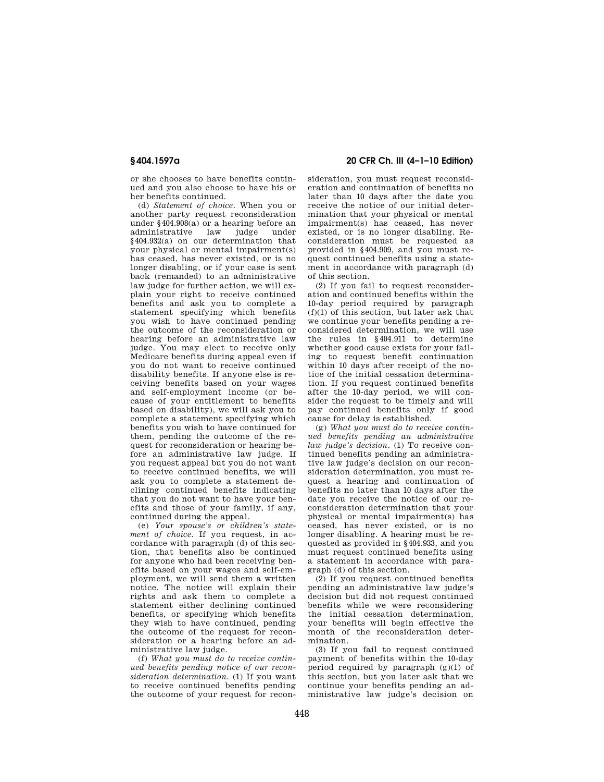or she chooses to have benefits continued and you also choose to have his or her benefits continued.

(d) *Statement of choice.* When you or another party request reconsideration under §404.908(a) or a hearing before an administrative law §404.932(a) on our determination that your physical or mental impairment(s) has ceased, has never existed, or is no longer disabling, or if your case is sent back (remanded) to an administrative law judge for further action, we will explain your right to receive continued benefits and ask you to complete a statement specifying which benefits you wish to have continued pending the outcome of the reconsideration or hearing before an administrative law judge. You may elect to receive only Medicare benefits during appeal even if you do not want to receive continued disability benefits. If anyone else is receiving benefits based on your wages and self-employment income (or because of your entitlement to benefits based on disability), we will ask you to complete a statement specifying which benefits you wish to have continued for them, pending the outcome of the request for reconsideration or hearing before an administrative law judge. If you request appeal but you do not want to receive continued benefits, we will ask you to complete a statement declining continued benefits indicating that you do not want to have your benefits and those of your family, if any, continued during the appeal.

(e) *Your spouse's or children's statement of choice.* If you request, in accordance with paragraph (d) of this section, that benefits also be continued for anyone who had been receiving benefits based on your wages and self-employment, we will send them a written notice. The notice will explain their rights and ask them to complete a statement either declining continued benefits, or specifying which benefits they wish to have continued, pending the outcome of the request for reconsideration or a hearing before an administrative law judge.

(f) *What you must do to receive continued benefits pending notice of our reconsideration determination.* (1) If you want to receive continued benefits pending the outcome of your request for recon-

# **§ 404.1597a 20 CFR Ch. III (4–1–10 Edition)**

sideration, you must request reconsideration and continuation of benefits no later than 10 days after the date you receive the notice of our initial determination that your physical or mental impairment(s) has ceased, has never existed, or is no longer disabling. Reconsideration must be requested as provided in §404.909, and you must request continued benefits using a statement in accordance with paragraph (d) of this section.

(2) If you fail to request reconsideration and continued benefits within the 10-day period required by paragraph  $(f)(1)$  of this section, but later ask that we continue your benefits pending a reconsidered determination, we will use the rules in §404.911 to determine whether good cause exists for your failing to request benefit continuation within 10 days after receipt of the notice of the initial cessation determination. If you request continued benefits after the 10-day period, we will consider the request to be timely and will pay continued benefits only if good cause for delay is established.

(g) *What you must do to receive continued benefits pending an administrative law judge's decision.* (1) To receive continued benefits pending an administrative law judge's decision on our reconsideration determination, you must request a hearing and continuation of benefits no later than 10 days after the date you receive the notice of our reconsideration determination that your physical or mental impairment(s) has ceased, has never existed, or is no longer disabling. A hearing must be requested as provided in §404.933, and you must request continued benefits using a statement in accordance with paragraph (d) of this section.

(2) If you request continued benefits pending an administrative law judge's decision but did not request continued benefits while we were reconsidering the initial cessation determination, your benefits will begin effective the month of the reconsideration determination.

(3) If you fail to request continued payment of benefits within the 10-day period required by paragraph  $(g)(1)$  of this section, but you later ask that we continue your benefits pending an administrative law judge's decision on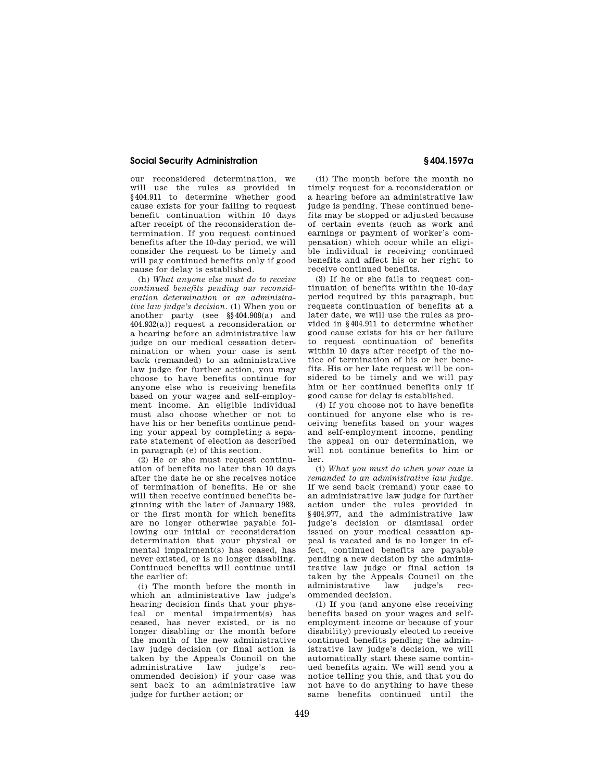## **Social Security Administration § 404.1597a**

our reconsidered determination, we will use the rules as provided in §404.911 to determine whether good cause exists for your failing to request benefit continuation within 10 days after receipt of the reconsideration determination. If you request continued benefits after the 10-day period, we will consider the request to be timely and will pay continued benefits only if good cause for delay is established.

(h) *What anyone else must do to receive continued benefits pending our reconsideration determination or an administrative law judge's decision.* (1) When you or another party (see §§404.908(a) and 404.932(a)) request a reconsideration or a hearing before an administrative law judge on our medical cessation determination or when your case is sent back (remanded) to an administrative law judge for further action, you may choose to have benefits continue for anyone else who is receiving benefits based on your wages and self-employment income. An eligible individual must also choose whether or not to have his or her benefits continue pending your appeal by completing a separate statement of election as described in paragraph (e) of this section.

(2) He or she must request continuation of benefits no later than 10 days after the date he or she receives notice of termination of benefits. He or she will then receive continued benefits beginning with the later of January 1983, or the first month for which benefits are no longer otherwise payable following our initial or reconsideration determination that your physical or mental impairment(s) has ceased, has never existed, or is no longer disabling. Continued benefits will continue until the earlier of:

(i) The month before the month in which an administrative law judge's hearing decision finds that your physical or mental impairment(s) has ceased, has never existed, or is no longer disabling or the month before the month of the new administrative law judge decision (or final action is taken by the Appeals Council on the administrative law judge's recommended decision) if your case was sent back to an administrative law judge for further action; or

(ii) The month before the month no timely request for a reconsideration or a hearing before an administrative law judge is pending. These continued benefits may be stopped or adjusted because of certain events (such as work and earnings or payment of worker's compensation) which occur while an eligible individual is receiving continued benefits and affect his or her right to receive continued benefits.

(3) If he or she fails to request continuation of benefits within the 10-day period required by this paragraph, but requests continuation of benefits at a later date, we will use the rules as provided in §404.911 to determine whether good cause exists for his or her failure to request continuation of benefits within 10 days after receint of the notice of termination of his or her benefits. His or her late request will be considered to be timely and we will pay him or her continued benefits only if good cause for delay is established.

(4) If you choose not to have benefits continued for anyone else who is receiving benefits based on your wages and self-employment income, pending the appeal on our determination, we will not continue benefits to him or her.

(i) *What you must do when your case is remanded to an administrative law judge.*  If we send back (remand) your case to an administrative law judge for further action under the rules provided in §404.977, and the administrative law judge's decision or dismissal order issued on your medical cessation appeal is vacated and is no longer in effect, continued benefits are payable pending a new decision by the administrative law judge or final action is taken by the Appeals Council on the administrative law judge's recommended decision.

(1) If you (and anyone else receiving benefits based on your wages and selfemployment income or because of your disability) previously elected to receive continued benefits pending the administrative law judge's decision, we will automatically start these same continued benefits again. We will send you a notice telling you this, and that you do not have to do anything to have these same benefits continued until the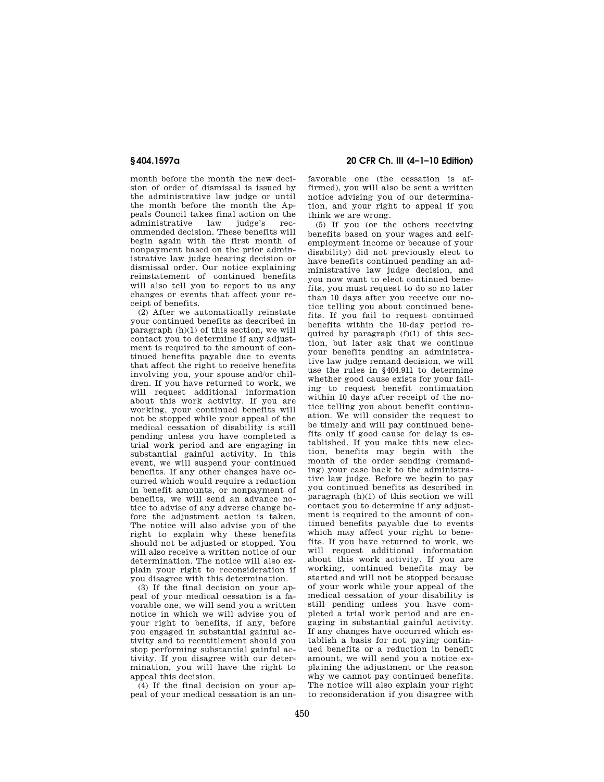month before the month the new decision of order of dismissal is issued by the administrative law judge or until the month before the month the Appeals Council takes final action on the administrative law judge's recommended decision. These benefits will begin again with the first month of nonpayment based on the prior administrative law judge hearing decision or dismissal order. Our notice explaining reinstatement of continued benefits will also tell you to report to us any changes or events that affect your receipt of benefits.

(2) After we automatically reinstate your continued benefits as described in paragraph (h)(1) of this section, we will contact you to determine if any adjustment is required to the amount of continued benefits payable due to events that affect the right to receive benefits involving you, your spouse and/or children. If you have returned to work, we will request additional information about this work activity. If you are working, your continued benefits will not be stopped while your appeal of the medical cessation of disability is still pending unless you have completed a trial work period and are engaging in substantial gainful activity. In this event, we will suspend your continued benefits. If any other changes have occurred which would require a reduction in benefit amounts, or nonpayment of benefits, we will send an advance notice to advise of any adverse change before the adjustment action is taken. The notice will also advise you of the right to explain why these benefits should not be adjusted or stopped. You will also receive a written notice of our determination. The notice will also explain your right to reconsideration if you disagree with this determination.

(3) If the final decision on your appeal of your medical cessation is a favorable one, we will send you a written notice in which we will advise you of your right to benefits, if any, before you engaged in substantial gainful activity and to reentitlement should you stop performing substantial gainful activity. If you disagree with our determination, you will have the right to appeal this decision.

(4) If the final decision on your appeal of your medical cessation is an un-

**§ 404.1597a 20 CFR Ch. III (4–1–10 Edition)** 

favorable one (the cessation is affirmed), you will also be sent a written notice advising you of our determination, and your right to appeal if you think we are wrong.

(5) If you (or the others receiving benefits based on your wages and selfemployment income or because of your disability) did not previously elect to have benefits continued pending an administrative law judge decision, and you now want to elect continued benefits, you must request to do so no later than 10 days after you receive our notice telling you about continued benefits. If you fail to request continued benefits within the 10-day period required by paragraph  $(f)(1)$  of this section, but later ask that we continue your benefits pending an administrative law judge remand decision, we will use the rules in §404.911 to determine whether good cause exists for your failing to request benefit continuation within 10 days after receipt of the notice telling you about benefit continuation. We will consider the request to be timely and will pay continued benefits only if good cause for delay is established. If you make this new election, benefits may begin with the month of the order sending (remanding) your case back to the administrative law judge. Before we begin to pay you continued benefits as described in paragraph (h)(1) of this section we will contact you to determine if any adjustment is required to the amount of continued benefits payable due to events which may affect your right to benefits. If you have returned to work, we will request additional information about this work activity. If you are working, continued benefits may be started and will not be stopped because of your work while your appeal of the medical cessation of your disability is still pending unless you have completed a trial work period and are engaging in substantial gainful activity. If any changes have occurred which establish a basis for not paying continued benefits or a reduction in benefit amount, we will send you a notice explaining the adjustment or the reason why we cannot pay continued benefits. The notice will also explain your right to reconsideration if you disagree with